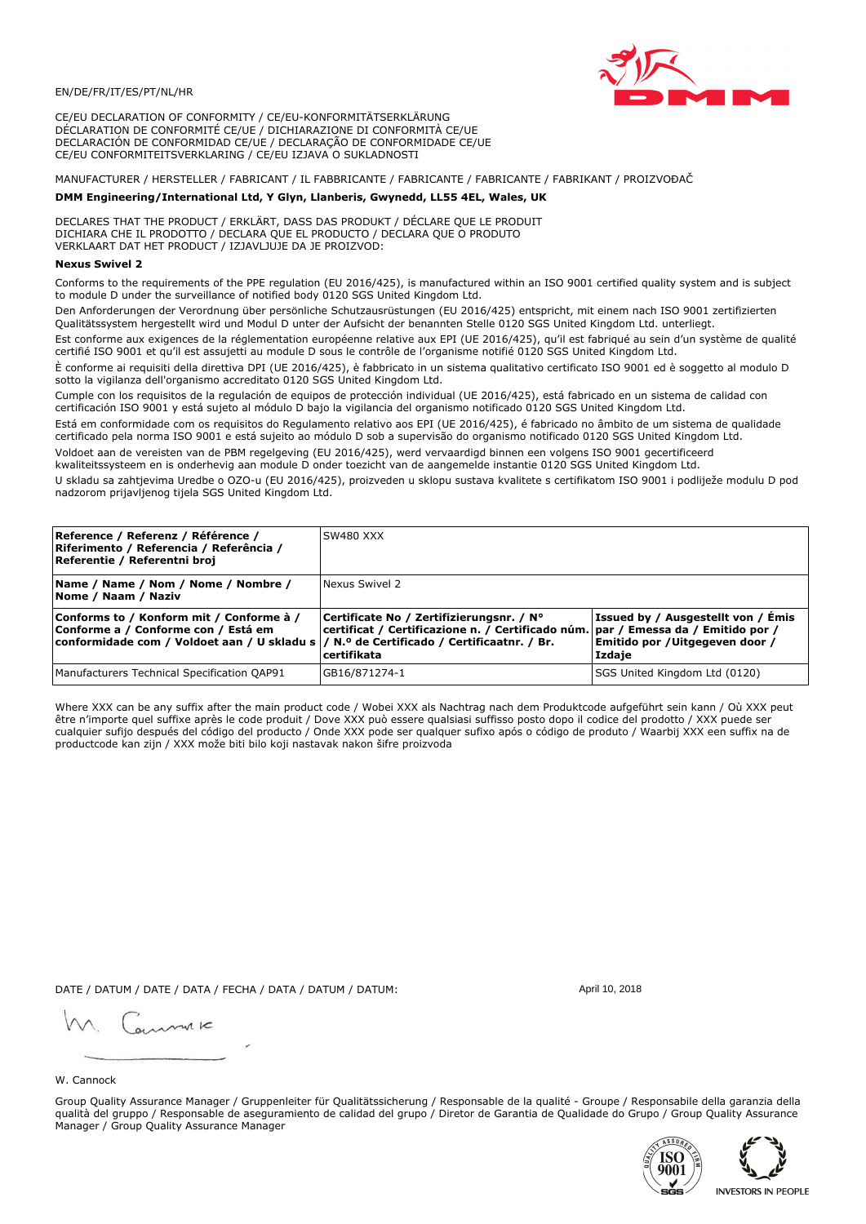

CE/EU DECLARATION OF CONFORMITY / CE/EU-KONFORMITÄTSERKLÄRUNG DÉCLARATION DE CONFORMITÉ CE/UE / DICHIARAZIONE DI CONFORMITÀ CE/UE DECLARACIÓN DE CONFORMIDAD CE/UE / DECLARAÇÃO DE CONFORMIDADE CE/UE CE/EU CONFORMITEITSVERKLARING / CE/EU IZJAVA O SUKLADNOSTI

# MANUFACTURER / HERSTELLER / FABRICANT / IL FABBRICANTE / FABRICANTE / FABRICANTE / FABRIKANT / PROIZVOĐAČ

## DMM Engineering/International Ltd, Y Glyn, Llanberis, Gwynedd, LL55 4EL, Wales, UK

DECLARES THAT THE PRODUCT / ERKLÄRT, DASS DAS PRODUKT / DÉCLARE QUE LE PRODUIT<br>DICHIARA CHE IL PRODOTTO / DECLARA QUE EL PRODUCTO / DECLARA QUE O PRODUTO VERKLAART DAT HET PRODUCT / IZJAVLJUJE DA JE PROIZVOD:

## **Nexus Swivel 2**

Conforms to the requirements of the PPE regulation (EU 2016/425), is manufactured within an ISO 9001 certified quality system and is subject to module D under the surveillance of notified body 0120 SGS United Kingdom Ltd.

Den Anforderungen der Verordnung über persönliche Schutzausrüstungen (EU 2016/425) entspricht, mit einem nach ISO 9001 zertifizierten Qualitätssystem hergestellt wird und Modul D unter der Aufsicht der benannten Stelle 0120 SGS United Kingdom Ltd. unterliegt.

Est conforme aux exigences de la réglementation européenne relative aux EPI (UE 2016/425), qu'il est fabriqué au sein d'un système de qualité certifié ISO 9001 et qu'il est assujetti au module D sous le contrôle de l'organisme notifié 0120 SGS United Kingdom Ltd.

È conforme ai requisiti della direttiva DPI (UE 2016/425), è fabbricato in un sistema qualitativo certificato ISO 9001 ed è soggetto al modulo D sotto la vigilanza dell'organismo accreditato 0120 SGS United Kingdom Ltd.

Cumple con los requisitos de la regulación de equipos de protección individual (UE 2016/425), está fabricado en un sistema de calidad con certificación ISO 9001 y está sujeto al módulo D bajo la vigilancia del organismo notificado 0120 SGS United Kingdom Ltd.

Está em conformidade com os requisitos do Regulamento relativo aos EPI (UE 2016/425), é fabricado no âmbito de um sistema de qualidade certificado pela norma ISO 9001 e está sujeito ao módulo D sob a supervisão do organismo notificado 0120 SGS United Kingdom Ltd. Voldoet aan de vereisten van de PBM regelgeving (EU 2016/425), werd vervaardigd binnen een volgens ISO 9001 gecertificeerd

kwaliteitssysteem en is onderhevig aan module D onder toezicht van de aangemelde instantie 0120 SGS United Kingdom Ltd.

U skladu sa zahtjevima Uredbe o OZO-u (EU 2016/425), proizveden u sklopu sustava kvalitete s certifikatom ISO 9001 i podliježe modulu D pod nadzorom prijavljenog tijela SGS United Kingdom Ltd.

| Reference / Referenz / Référence /<br>Riferimento / Referencia / Referência /<br>Referentie / Referentni broj                                                               | SW480 XXX                                                                                                                                    |                                                                                |
|-----------------------------------------------------------------------------------------------------------------------------------------------------------------------------|----------------------------------------------------------------------------------------------------------------------------------------------|--------------------------------------------------------------------------------|
| Name / Name / Nom / Nome / Nombre /<br>Nome / Naam / Naziv                                                                                                                  | Nexus Swivel 2                                                                                                                               |                                                                                |
| Conforms to / Konform mit / Conforme à /<br>Conforme a / Conforme con / Está em<br>conformidade com / Voldoet aan / U skladu s  / N.º de Certificado / Certificaatnr. / Br. | Certificate No / Zertifizierungsnr. / N°<br>certificat / Certificazione n. / Certificado núm. par / Emessa da / Emitido por /<br>certifikata | Issued by / Ausgestellt von / Émis<br>Emitido por /Uitgegeven door /<br>Izdaje |
| Manufacturers Technical Specification QAP91                                                                                                                                 | GB16/871274-1                                                                                                                                | SGS United Kingdom Ltd (0120)                                                  |

Where XXX can be any suffix after the main product code / Wobei XXX als Nachtrag nach dem Produktcode aufgeführt sein kann / Où XXX peut etre n'importe quel suffixe après le code produit / Dove XXX può essere qualsiasi suffisso posto dopo il codice del prodotto / XXX puede ser<br>cualquier sufijo después del código del producto / Onde XXX pode ser qualquer suf productcode kan zijn / XXX može biti bilo koji nastavak nakon šifre proizvoda

DATE / DATUM / DATE / DATA / FECHA / DATA / DATUM / DATUM:

gimmic

April 10, 2018

## W. Cannock

Group Quality Assurance Manager / Gruppenleiter für Qualitätssicherung / Responsable de la qualité - Groupe / Responsabile della garanzia della qualità del gruppo / Responsable de aseguramiento de calidad del grupo / Diretor de Garantia de Qualidade do Grupo / Group Quality Assurance Manager / Group Quality Assurance Manager



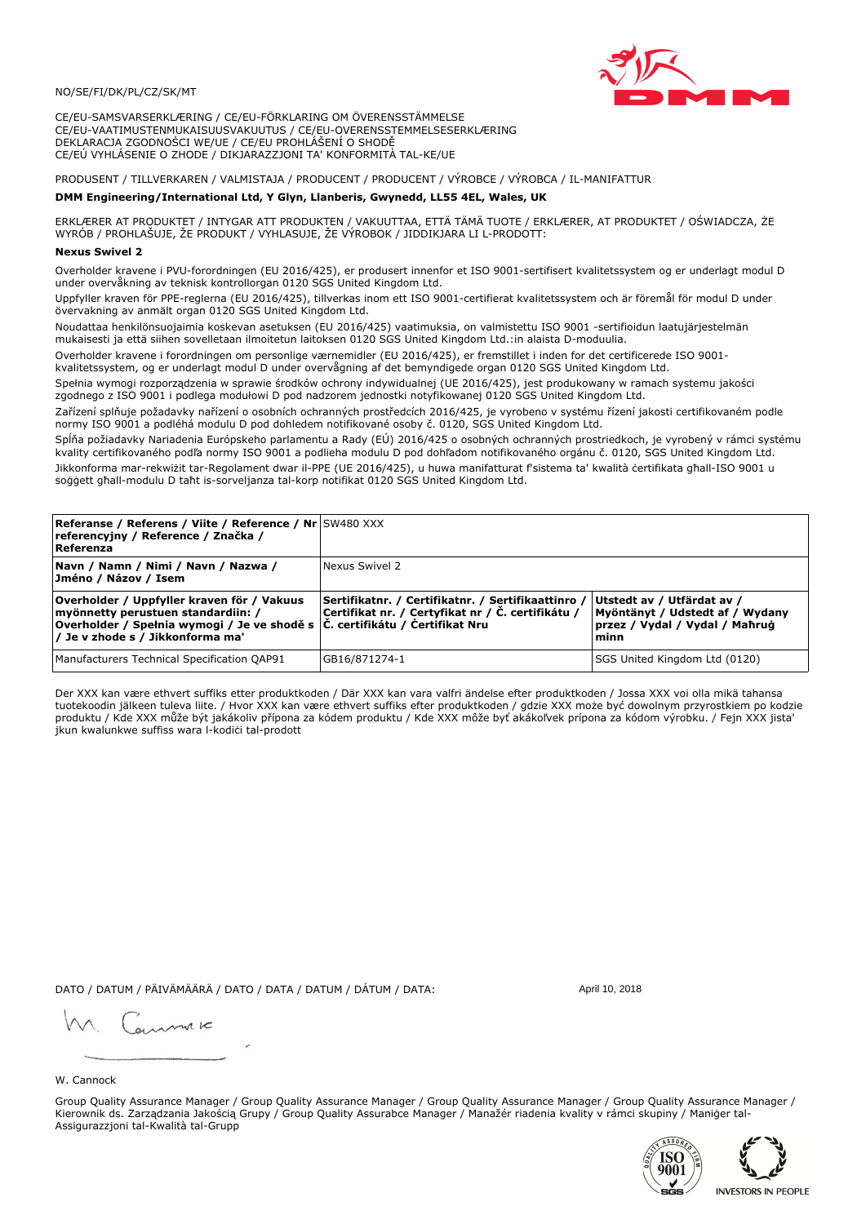## NO/SE/FI/DK/PL/CZ/SK/MT

CE/EU-SAMSVARSERKLÆRING / CE/EU-FÖRKLARING OM ÖVERENSSTÄMMELSE CE/EU-VAATIMUSTENMUKAISUUSVAKUUTUS / CE/EU-OVERENSSTEMMELSESERKLÆRING DEKLARACJA ZGODNOŚCI WE/UE / CE/EU PROHLÁŠENÍ O SHODĚ CE/EÚ VYHLÁSENIE O ZHODE / DIKJARAZZJONI TA' KONFORMITÀ TAL-KE/UE

PRODUSENT / TILLVERKAREN / VALMISTAJA / PRODUCENT / PRODUCENT / VÝROBCE / VÝROBCA / IL-MANIFATTUR

## DMM Engineering/International Ltd, Y Glyn, Llanberis, Gwynedd, LL55 4EL, Wales, UK

ERKLÆRER AT PRODUKTET / INTYGAR ATT PRODUKTEN / VAKUUTTAA, ETTÄ TÄMÄ TUOTE / ERKLÆRER, AT PRODUKTET / OŚWIADCZA, ŻE<br>WYRÓB / PROHLAŠUJE, ŽE PRODUKT / VYHLASUJE, ŽE VÝROBOK / JIDDIKJARA LI L-PRODOTT:

Overholder kravene i PVU-forordningen (EU 2016/425), er produsert innenfor et ISO 9001-sertifisert kvalitetssystem og er underlagt modul D<br>under overvåkning av teknisk kontrollorgan 0120 SGS United Kingdom Ltd.

Uppfyller kraven för PPE-reglerna (EU 2016/425), tillverkas inom ett ISO 9001-certifierat kvalitetssystem och är föremål för modul D under övervakning av anmält organ 0120 SGS United Kingdom Ltd.

Noudattaa henkilönsuojaimia koskevan asetuksen (EU 2016/425) vaatimuksia, on valmistettu ISO 9001 -sertifioidun laatujärjestelmän mukaisesti ja että siihen sovelletaan ilmoitetun laitoksen 0120 SGS United Kingdom Ltd.:in alaista D-moduulia.

Overholder kravene i forordningen om personlige værnemidler (EU 2016/425), er fremstillet i inden for det certificerede ISO 9001kvalitetssystem, og er underlagt modul D under overvågning af det bemyndigede organ 0120 SGS United Kingdom Ltd.

Spełnia wymogi rozporządzenia w sprawie środków ochrony indywidualnej (UE 2016/425), jest produkowany w ramach systemu jakości zgodnego z ISO 9001 i podlega modułowi D pod nadzorem jednostki notyfikowanej 0120 SGS United Kingdom Ltd.

Zařízení splňuje požadavky nařízení o osobních ochranných prostředcích 2016/425, je vyrobeno v systému řízení jakosti certifikovaném podle normy ISO 9001 a podléhá modulu D pod dohledem notifikované osoby č. 0120, SGS United Kingdom Ltd.

Spĺňa požiadavky Nariadenia Európskeho parlamentu a Rady (EÚ) 2016/425 o osobných ochranných prostriedkoch, je vyrobený v rámci systému kvality certifikovaného podľa normy ISO 9001 a podlieha modulu D pod dohľadom notifikovaného orgánu č. 0120, SGS Únited Kingdom Ltd. Jikkonforma mar-rekwiżit tar-Regolament dwar il-PPE (UE 2016/425), u huwa manifatturat f'sistema ta' kwalità certifikata għall-ISO 9001 u soggett ghall-modulu D taht is-sorveljanza tal-korp notifikat 0120 SGS United Kingdom Ltd.

| <b>Referanse / Referens / Viite / Reference / Nr</b> SW480 XXX<br>referencyjny / Reference / Značka /<br>Referenza                                                                                    |                                                                                                         |                                                                                                          |
|-------------------------------------------------------------------------------------------------------------------------------------------------------------------------------------------------------|---------------------------------------------------------------------------------------------------------|----------------------------------------------------------------------------------------------------------|
| Navn / Namn / Nimi / Navn / Nazwa /<br>Jméno / Názov / Isem                                                                                                                                           | Nexus Swivel 2                                                                                          |                                                                                                          |
| Overholder / Uppfyller kraven för / Vakuus<br>mvönnetty perustuen standardiin: /<br> Overholder / Spełnia wymogi / Je ve shodě s  Č. certifikátu / Certifikat Nru<br>/ Je v zhode s / Jikkonforma ma' | Sertifikatnr. / Certifikatnr. / Sertifikaattinro /<br>Certifikat nr. / Certyfikat nr / Č. certifikátu / | Utstedt av / Utfärdat av /<br>Myöntänyt / Udstedt af / Wydany<br> przez / Vvdal / Vvdal / Maħruġ<br>minn |
| Manufacturers Technical Specification QAP91                                                                                                                                                           | GB16/871274-1                                                                                           | SGS United Kingdom Ltd (0120)                                                                            |

Der XXX kan være ethvert suffiks etter produktkoden / Där XXX kan vara valfri ändelse efter produktkoden / Jossa XXX voi olla mikä tahansa tuotekoodin jälkeen tuleva liite. / Hvor XXX kan være ethvert suffiks efter produktkoden / gdzie XXX może być dowolnym przyrostkiem po kodzie produktu / Kde XXX může být jakákoliv přípona za kódem produktu / Kde XXX môže byť akákoľvek prípona za kódom výrobku. / Fejn XXX jista jkun kwalunkwe suffiss wara l-kodici tal-prodott

DATO / DATUM / PÄIVÄMÄÄRÄ / DATO / DATA / DATUM / DÁTUM / DATA:

April 10, 2018

annuic

#### W. Cannock

Group Quality Assurance Manager / Group Quality Assurance Manager / Group Quality Assurance Manager / Group Quality Assurance Manager / Kierownik ds. Zarządzania Jakością Grupy / Group Quality Assurabce Manager / Manažér riadenia kvality v rámci skupiny / Maniger tal-Assigurazzjoni tal-Kwalità tal-Grupp